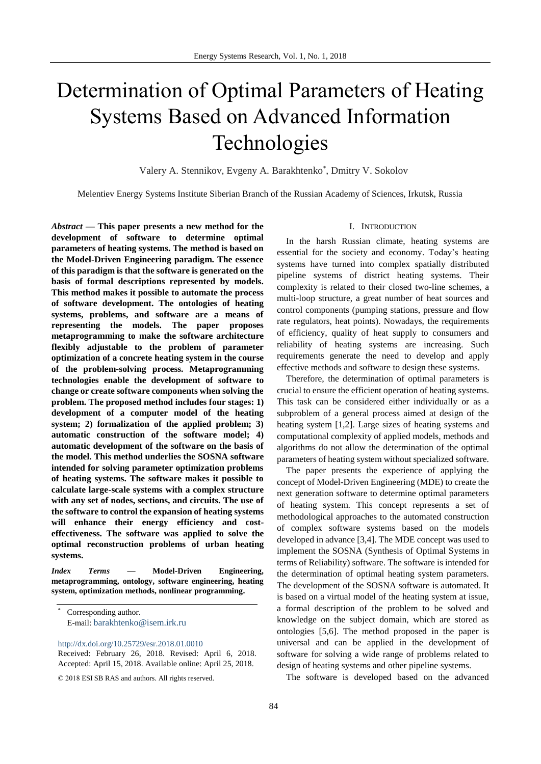# Determination of Optimal Parameters of Heating Systems Based on Advanced Information Technologies

Valery A. Stennikov, Evgeny A. Barakhtenko\*, Dmitry V. Sokolov

Melentiev Energy Systems Institute Siberian Branch of the Russian Academy of Sciences, Irkutsk, Russia

*Abstract* **— This paper presents a new method for the development of software to determine optimal parameters of heating systems. The method is based on the Model-Driven Engineering paradigm. The essence of this paradigm is that the software is generated on the basis of formal descriptions represented by models. This method makes it possible to automate the process of software development. The ontologies of heating systems, problems, and software are a means of representing the models. The paper proposes metaprogramming to make the software architecture flexibly adjustable to the problem of parameter optimization of a concrete heating system in the course of the problem-solving process. Metaprogramming technologies enable the development of software to change or create software components when solving the problem. The proposed method includes four stages: 1) development of a computer model of the heating system; 2) formalization of the applied problem; 3) automatic construction of the software model; 4) automatic development of the software on the basis of the model. This method underlies the SOSNA software intended for solving parameter optimization problems of heating systems. The software makes it possible to calculate large-scale systems with a complex structure with any set of nodes, sections, and circuits. The use of the software to control the expansion of heating systems will enhance their energy efficiency and costeffectiveness. The software was applied to solve the optimal reconstruction problems of urban heating systems.**

*Index Terms* **— Model-Driven Engineering, metaprogramming, ontology, software engineering, heating system, optimization methods, nonlinear programming.** 

<http://dx.doi.org/10.25729/esr.2018.01.0010>

Received: February 26, 2018. Revised: April 6, 2018. Accepted: April 15, 2018. Available online: April 25, 2018.

#### I. INTRODUCTION

In the harsh Russian climate, heating systems are essential for the society and economy. Today's heating systems have turned into complex spatially distributed pipeline systems of district heating systems. Their complexity is related to their closed two-line schemes, a multi-loop structure, a great number of heat sources and control components (pumping stations, pressure and flow rate regulators, heat points). Nowadays, the requirements of efficiency, quality of heat supply to consumers and reliability of heating systems are increasing. Such requirements generate the need to develop and apply effective methods and software to design these systems.

Therefore, the determination of optimal parameters is crucial to ensure the efficient operation of heating systems. This task can be considered either individually or as a subproblem of a general process aimed at design of the heating system [1,2]. Large sizes of heating systems and computational complexity of applied models, methods and algorithms do not allow the determination of the optimal parameters of heating system without specialized software.

The paper presents the experience of applying the concept of Model-Driven Engineering (MDE) to create the next generation software to determine optimal parameters of heating system. This concept represents a set of methodological approaches to the automated construction of complex software systems based on the models developed in advance [3,4]. The MDE concept was used to implement the SOSNA (Synthesis of Optimal Systems in terms of Reliability) software. The software is intended for the determination of optimal heating system parameters. The development of the SOSNA software is automated. It is based on a virtual model of the heating system at issue, a formal description of the problem to be solved and knowledge on the subject domain, which are stored as ontologies [5,6]. The method proposed in the paper is universal and can be applied in the development of software for solving a wide range of problems related to design of heating systems and other pipeline systems.

The software is developed based on the advanced

Corresponding author. E-mail: [barakhtenko@isem.irk.ru](mailto:barakhtenko@isem.irk.ru)

<sup>© 2018</sup> ESI SB RAS and authors. All rights reserved.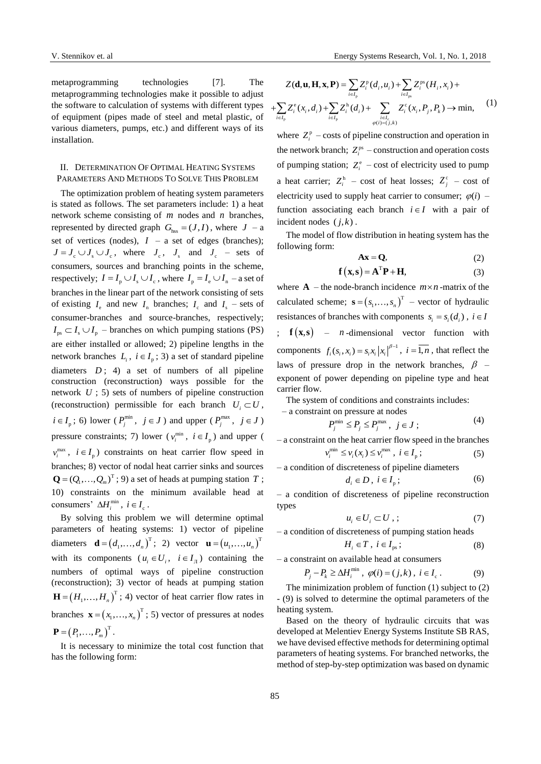V. Stennikov et. al<br> [Energy Systems Research,](http://esrj.ru/) Vol. 1, No. 1, 2018<br>
metaprogramming technologies make it possible to adjust<br>  $Z(\mathbf{d}, \mathbf{u}, \mathbf{H}, \mathbf{x}, \mathbf{P}) = \sum_{i \in I_p} Z_i^{\mathsf{p}}(d_i, u_i) + \sum_{i \in I_p} Z_i^{\mathsf{ps}}(H_i, x_i) +$ <br>
metaprogra metaprogramming technologies [7]. The metaprogramming technologies make it possible to adjust the software to calculation of systems with different types of equipment (pipes made of steel and metal plastic, of various diameters, pumps, etc.) and different ways of its installation.

# II. DETERMINATION OF OPTIMAL HEATING SYSTEMS PARAMETERS AND METHODS TO SOLVE THIS PROBLEM

The optimization problem of heating system parameters is stated as follows. The set parameters include: 1) a heat network scheme consisting of *m* nodes and *n* branches, represented by directed graph  $G_{\text{hss}} = (J, I)$ , where  $J - a$ set of vertices (nodes),  $I - a$  set of edges (branches);  $J = J_c \cup J_s \cup J_c$ , where  $J_c$ ,  $J_s$  and  $J_c$  – sets of consumers, sources and branching points in the scheme, respectively;  $I = I_{p} \cup I_{s} \cup I_{c}$ , where  $I_{p} = I_{e} \cup I_{n}$  – a set of branches in the linear part of the network consisting of sets of existing  $I_e$  and new  $I_n$  branches;  $I_c$  and  $I_s$  – sets of consumer-branches and source-branches, respectively;  $I_{ps} \subset I_s \cup I_p$  – branches on which pumping stations (PS) are either installed or allowed; 2) pipeline lengths in the network branches  $L_i$ ,  $i \in I_p$ ; 3) a set of standard pipeline diameters  $D$ ; 4) a set of numbers of all pipeline construction (reconstruction) ways possible for the network *U* ; 5) sets of numbers of pipeline construction (reconstruction) permissible for each branch  $U_i \subset U$ ,  $i \in I_p$ ; 6) lower ( $P_j^{\min}$ ,  $j \in J$ ) and upper ( $P_j^{\max}$ ,  $j \in J$ ) pressure constraints; 7) lower ( $v_i^{\min}$ ,  $i \in I_p$ ) and upper (  $v_i^{\text{max}}$ ,  $i \in I_p$ ) constraints on heat carrier flow speed in branches; 8) vector of nodal heat carrier sinks and sources  $\mathbf{Q} = (Q_1, \dots, Q_m)^T$ ; 9) a set of heads at pumping station T; 10) constraints on the minimum available head at consumers'  $\Delta H_i^{\min}$ ,  $i \in I_c$ .

By solving this problem we will determine optimal parameters of heating systems: 1) vector of pipeline diameters  $\mathbf{d} = (d_1, ..., d_n)^T$ **d** =  $(d_1, ..., d_n)^T$ ; 2) vector **u** =  $(u_1, ..., u_n)^T$  $\mathbf{u} = (u_1, \ldots, u_n)$ with its components  $(u_i \in U_i, i \in I_{\pi})$  containing the numbers of optimal ways of pipeline construction (reconstruction); 3) vector of heads at pumping station  $\left(H_1,\ldots,H_n\right)^{\rm T}$  $\mathbf{H} = (H_1, \dots, H_n)$ <sup>T</sup>; 4) vector of heat carrier flow rates in branches  $\mathbf{x} = (x_1, \dots, x_n)^T$  $\mathbf{x} = (x_1, \dots, x_n)$  ; 5) vector of pressures at nodes  $\left(P_1, \ldots, P_m\right)^{\rm T}$  ${\bf P} = (P_1, ..., P_m)^T$ .

It is necessary to minimize the total cost function that has the following form:

$$
Z(\mathbf{d}, \mathbf{u}, \mathbf{H}, \mathbf{x}, \mathbf{P}) = \sum_{i \in I_p} Z_i^{\text{p}}(d_i, u_i) + \sum_{i \in I_{ps}} Z_i^{\text{ps}}(H_i, x_i) +
$$
  
+ 
$$
\sum_{i \in I_p} Z_i^{\text{e}}(x_i, d_i) + \sum_{i \in I_p} Z_i^{\text{h}}(d_i) + \sum_{\substack{i \in I_p \\ \varphi(i) = (j,k)}} Z_i^{\text{e}}(x_i, P_j, P_k) \to \min, \tag{1}
$$

where  $Z_i^p$  – costs of pipeline construction and operation in the network branch;  $Z_i^{ps}$  – construction and operation costs of pumping station;  $Z_i^e$  – cost of electricity used to pump a heat carrier;  $Z_i^h$  – cost of heat losses;  $Z_j^c$  – cost of electricity used to supply heat carrier to consumer;  $\varphi(i)$  – function associating each branch  $i \in I$  with a pair of incident nodes  $(j,k)$ .

The model of flow distribution in heating system has the following form:

$$
Ax = Q,\t(2)
$$

$$
\mathbf{f}(\mathbf{x}, \mathbf{s}) = \mathbf{A}^{\mathrm{T}} \mathbf{P} + \mathbf{H},\tag{3}
$$

where  $\bf{A}$  – the node-branch incidence  $m \times n$ -matrix of the calculated scheme;  $\mathbf{s} = (s_1, \dots, s_n)^T$  $\mathbf{s} = (s_1, \dots, s_n)^T$  – vector of hydraulic resistances of branches with components  $s_i = s_i(d_i)$ ,  $i \in I$  $f(x,s)$  – *n*-dimensional vector function with components  $f_i(s_i, x_i) = s_i x_i |x_i|^{\beta - 1}$ ,  $i = \overline{1, n}$ , that reflect the laws of pressure drop in the network branches,  $\beta$  – exponent of power depending on pipeline type and heat carrier flow.

The system of conditions and constraints includes:

- a constraint on pressure at nodes  
\n
$$
P_j^{\min} \le P_j \le P_j^{\max}, \ j \in J ;
$$
\n(4)

– a constraint on the heat carrier flow speed in the branches  $v_i^{\min} \le v_i(x_i) \le v_i^{\max}$ ,  $i \in I_p$  $(5)$ 

$$
-
$$
 a condition of discreteness of pipeline diameters

$$
d_i \in D \,,\ i \in I_p \,;\tag{6}
$$

– a condition of discreteness of pipeline reconstruction types

$$
u_i \in U_i \subset U \tag{7}
$$

– a condition of discreteness of pumping station heads

$$
H_i \in T \,, \ i \in I_{ps} \,;\tag{8}
$$

– a constraint on available head at consumers

$$
P_j - P_k \ge \Delta H_i^{\min}, \ \varphi(i) = (j,k), \ i \in I_c. \tag{9}
$$

The minimization problem of function (1) subject to (2) - (9) is solved to determine the optimal parameters of the heating system.

Based on the theory of hydraulic circuits that was developed at Melentiev Energy Systems Institute SB RAS, we have devised effective methods for determining optimal parameters of heating systems. For branched networks, the method of step-by-step optimization was based on dynamic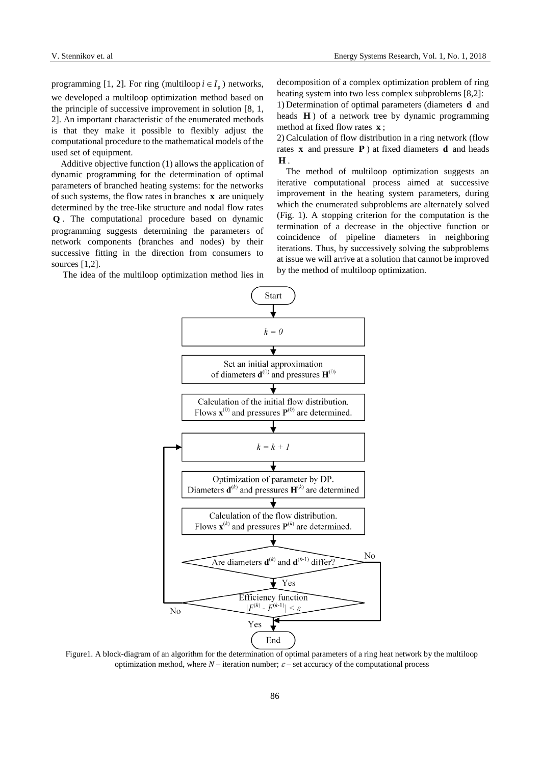programming [1, 2]. For ring (multiloop  $i \in I_p$ ) networks, we developed a multiloop optimization method based on the principle of successive improvement in solution [8, 1, 2]. An important characteristic of the enumerated methods is that they make it possible to flexibly adjust the computational procedure to the mathematical models of the used set of equipment.

Additive objective function (1) allows the application of dynamic programming for the determination of optimal parameters of branched heating systems: for the networks of such systems, the flow rates in branches **x** are uniquely determined by the tree-like structure and nodal flow rates **Q** . The computational procedure based on dynamic programming suggests determining the parameters of network components (branches and nodes) by their successive fitting in the direction from consumers to sources [1,2].

The idea of the multiloop optimization method lies in

decomposition of a complex optimization problem of ring heating system into two less complex subproblems [8,2]:

1) Determination of optimal parameters (diameters **d** and heads **H** ) of a network tree by dynamic programming method at fixed flow rates **x** ;

2) Calculation of flow distribution in a ring network (flow rates **x** and pressure **P** ) at fixed diameters **d** and heads **H** .

The method of multiloop optimization suggests an iterative computational process aimed at successive improvement in the heating system parameters, during which the enumerated subproblems are alternately solved (Fig. 1). A stopping criterion for the computation is the termination of a decrease in the objective function or coincidence of pipeline diameters in neighboring iterations. Thus, by successively solving the subproblems at issue we will arrive at a solution that cannot be improved by the method of multiloop optimization.



Figure1. A block-diagram of an algorithm for the determination of optimal parameters of a ring heat network by the multiloop optimization method, where  $N-$  iteration number;  $\varepsilon$  – set accuracy of the computational process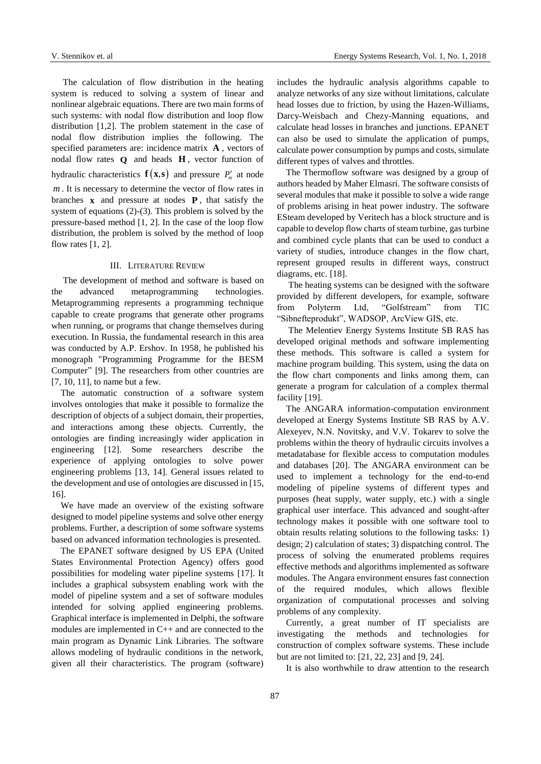The calculation of flow distribution in the heating system is reduced to solving a system of linear and nonlinear algebraic equations. There are two main forms of such systems: with nodal flow distribution and loop flow distribution [1,2]. The problem statement in the case of nodal flow distribution implies the following. The specified parameters are: incidence matrix **A** , vectors of nodal flow rates **Q** and heads **H** , vector function of hydraulic characteristics  $f(x,s)$  and pressure  $P'_m$  at node *m* . It is necessary to determine the vector of flow rates in branches  $\bf{x}$  and pressure at nodes  $\bf{P}$ , that satisfy the system of equations (2)-(3). This problem is solved by the pressure-based method [1, 2]. In the case of the loop flow distribution, the problem is solved by the method of loop flow rates  $[1, 2]$ .

#### III. LITERATURE REVIEW

The development of method and software is based on the advanced metaprogramming technologies. Metaprogramming represents a programming technique capable to create programs that generate other programs when running, or programs that change themselves during execution. In Russia, the fundamental research in this area was conducted by A.P. Ershov. In 1958, he published his monograph "Programming Programme for the BESM Computer" [9]. The researchers from other countries are [7, 10, 11], to name but a few.

The automatic construction of a software system involves ontologies that make it possible to formalize the description of objects of a subject domain, their properties, and interactions among these objects. Currently, the ontologies are finding increasingly wider application in engineering [12]. Some researchers describe the experience of applying ontologies to solve power engineering problems [13, 14]. General issues related to the development and use of ontologies are discussed in [15, 16].

We have made an overview of the existing software designed to model pipeline systems and solve other energy problems. Further, a description of some software systems based on advanced information technologies is presented.

The EPANET software designed by US EPA (United States Environmental Protection Agency) offers good possibilities for modeling water pipeline systems [17]. It includes a graphical subsystem enabling work with the model of pipeline system and a set of software modules intended for solving applied engineering problems. Graphical interface is implemented in Delphi, the software modules are implemented in C++ and are connected to the main program as Dynamic Link Libraries. The software allows modeling of hydraulic conditions in the network, given all their characteristics. The program (software)

includes the hydraulic analysis algorithms capable to analyze networks of any size without limitations, calculate head losses due to friction, by using the Hazen-Williams, Darcy-Weisbach and Chezy-Manning equations, and calculate head losses in branches and junctions. EPANET can also be used to simulate the application of pumps, calculate power consumption by pumps and costs, simulate different types of valves and throttles.

The Thermoflow software was designed by a group of authors headed by Maher Elmasri. The software consists of several modules that make it possible to solve a wide range of problems arising in heat power industry. The software ESteam developed by Veritech has a block structure and is capable to develop flow charts of steam turbine, gas turbine and combined cycle plants that can be used to conduct a variety of studies, introduce changes in the flow chart, represent grouped results in different ways, construct diagrams, etc. [18].

The heating systems can be designed with the software provided by different developers, for example, software from Polyterm Ltd, "Golfstream" from TIC "Sibnefteprodukt", WADSOP, ArcView GIS, etc.

The Melentiev Energy Systems Institute SB RAS has developed original methods and software implementing these methods. This software is called a system for machine program building. This system, using the data on the flow chart components and links among them, can generate a program for calculation of a complex thermal facility [19].

The ANGARA information-computation environment developed at Energy Systems Institute SB RAS by A.V. Alexeyev, N.N. Novitsky, and V.V. Tokarev to solve the problems within the theory of hydraulic circuits involves a metadatabase for flexible access to computation modules and databases [20]. The ANGARA environment can be used to implement a technology for the end-to-end modeling of pipeline systems of different types and purposes (heat supply, water supply, etc.) with a single graphical user interface. This advanced and sought-after technology makes it possible with one software tool to obtain results relating solutions to the following tasks: 1) design; 2) calculation of states; 3) dispatching control. The process of solving the enumerated problems requires effective methods and algorithms implemented as software modules. The Angara environment ensures fast connection of the required modules, which allows flexible organization of computational processes and solving problems of any complexity.

Currently, a great number of IT specialists are investigating the methods and technologies for construction of complex software systems. These include but are not limited to: [21, 22, 23] and [9, 24].

It is also worthwhile to draw attention to the research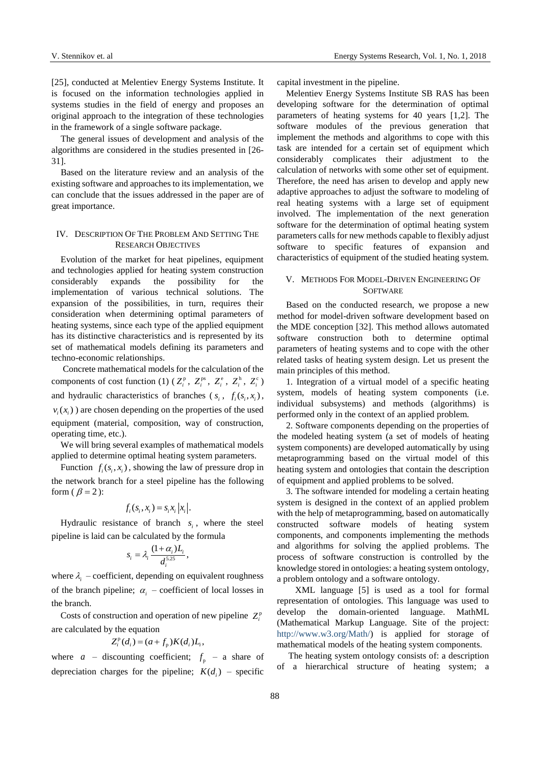[25], conducted at Melentiev Energy Systems Institute. It is focused on the information technologies applied in systems studies in the field of energy and proposes an original approach to the integration of these technologies in the framework of a single software package.

The general issues of development and analysis of the algorithms are considered in the studies presented in [26- 31].

Based on the literature review and an analysis of the existing software and approaches to its implementation, we can conclude that the issues addressed in the paper are of great importance.

## IV. DESCRIPTION OF THE PROBLEM AND SETTING THE RESEARCH OBJECTIVES

Evolution of the market for heat pipelines, equipment and technologies applied for heating system construction considerably expands the possibility for the implementation of various technical solutions. The expansion of the possibilities, in turn, requires their consideration when determining optimal parameters of heating systems, since each type of the applied equipment has its distinctive characteristics and is represented by its set of mathematical models defining its parameters and techno-economic relationships.

Concrete mathematical models for the calculation of the components of cost function (1) ( $Z_i^p$ ,  $Z_i^{ps}$ ,  $Z_i^e$ ,  $Z_i^h$ ,  $Z_i^c$ ) and hydraulic characteristics of branches  $(s_i, f_i(s_i, x_i))$ ,  $v_i(x_i)$ ) are chosen depending on the properties of the used equipment (material, composition, way of construction, operating time, etc.).

We will bring several examples of mathematical models applied to determine optimal heating system parameters.

Function  $f_i(s_i, x_i)$ , showing the law of pressure drop in the network branch for a steel pipeline has the following form ( $\beta$  = 2):

$$
f_i(s_i, x_i) = s_i x_i |x_i|.
$$

Hydraulic resistance of branch  $s_i$ , where the steel pipeline is laid can be calculated by the formula

$$
s_i = \lambda_i \, \frac{(1+\alpha_i)L_i}{d_i^{5.25}},
$$

where  $\lambda_i$  – coefficient, depending on equivalent roughness of the branch pipeline;  $\alpha_i$  – coefficient of local losses in the branch.

Costs of construction and operation of new pipeline  $Z_i^p$ are calculated by the equation

$$
Z_i^{\rm p}(d_i) = (a + f_{\rm p})K(d_i)L_i,
$$

where  $a$  – discounting coefficient;  $f_p$  – a share of depreciation charges for the pipeline;  $K(d_i)$  – specific capital investment in the pipeline.

Melentiev Energy Systems Institute SB RAS has been developing software for the determination of optimal parameters of heating systems for 40 years [1,2]. The software modules of the previous generation that implement the methods and algorithms to cope with this task are intended for a certain set of equipment which considerably complicates their adjustment to the calculation of networks with some other set of equipment. Therefore, the need has arisen to develop and apply new adaptive approaches to adjust the software to modeling of real heating systems with a large set of equipment involved. The implementation of the next generation software for the determination of optimal heating system parameters calls for new methods capable to flexibly adjust software to specific features of expansion and characteristics of equipment of the studied heating system.

#### V. METHODS FOR MODEL-DRIVEN ENGINEERING OF **SOFTWARE**

Based on the conducted research, we propose a new method for model-driven software development based on the MDE conception [32]. This method allows automated software construction both to determine optimal parameters of heating systems and to cope with the other related tasks of heating system design. Let us present the main principles of this method.

1. Integration of a virtual model of a specific heating system, models of heating system components (i.e. individual subsystems) and methods (algorithms) is performed only in the context of an applied problem.

2. Software components depending on the properties of the modeled heating system (a set of models of heating system components) are developed automatically by using metaprogramming based on the virtual model of this heating system and ontologies that contain the description of equipment and applied problems to be solved.

3. The software intended for modeling a certain heating system is designed in the context of an applied problem with the help of metaprogramming, based on automatically constructed software models of heating system components, and components implementing the methods and algorithms for solving the applied problems. The process of software construction is controlled by the knowledge stored in ontologies: a heating system ontology, a problem ontology and a software ontology.

XML language [5] is used as a tool for formal representation of ontologies. This language was used to develop the domain-oriented language. MathML (Mathematical Markup Language. Site of the project: [http://www.w3.org/Math/\)](http://www.w3.org/Math/) is applied for storage of mathematical models of the heating system components.

The heating system ontology consists of: a description of a hierarchical structure of heating system; a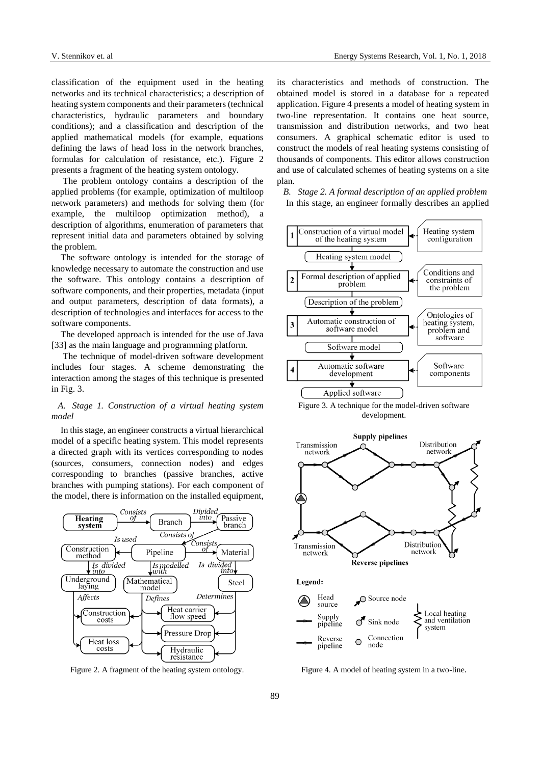classification of the equipment used in the heating networks and its technical characteristics; a description of heating system components and their parameters (technical characteristics, hydraulic parameters and boundary conditions); and a classification and description of the applied mathematical models (for example, equations defining the laws of head loss in the network branches, formulas for calculation of resistance, etc.). Figure 2 presents a fragment of the heating system ontology.

The problem ontology contains a description of the applied problems (for example, optimization of multiloop network parameters) and methods for solving them (for example, the multiloop optimization method), a description of algorithms, enumeration of parameters that represent initial data and parameters obtained by solving the problem.

The software ontology is intended for the storage of knowledge necessary to automate the construction and use the software. This ontology contains a description of software components, and their properties, metadata (input and output parameters, description of data formats), a description of technologies and interfaces for access to the software components.

The developed approach is intended for the use of Java [33] as the main language and programming platform.

The technique of model-driven software development includes four stages. A scheme demonstrating the interaction among the stages of this technique is presented in Fig. 3.

## *A. Stage 1. Construction of a virtual heating system model*

In this stage, an engineer constructs a virtual hierarchical model of a specific heating system. This model represents a directed graph with its vertices corresponding to nodes (sources, consumers, connection nodes) and edges corresponding to branches (passive branches, active branches with pumping stations). For each component of the model, there is information on the installed equipment,



Figure 2. A fragment of the heating system ontology.

its characteristics and methods of construction. The obtained model is stored in a database for a repeated application. Figure 4 presents a model of heating system in two-line representation. It contains one heat source, transmission and distribution networks, and two heat consumers. A graphical schematic editor is used to construct the models of real heating systems consisting of thousands of components. This editor allows construction and use of calculated schemes of heating systems on a site plan.

*B. Stage 2. A formal description of an applied problem* In this stage, an engineer formally describes an applied







Figure 4. A model of heating system in a two-line.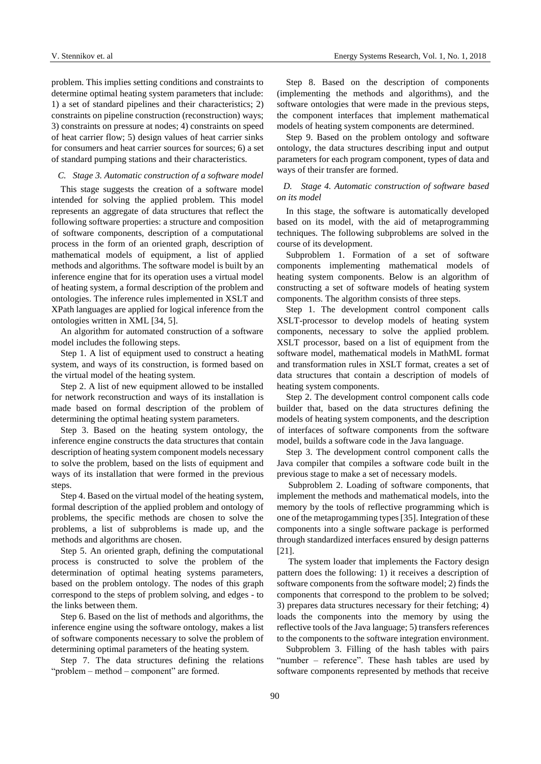problem. This implies setting conditions and constraints to determine optimal heating system parameters that include: 1) a set of standard pipelines and their characteristics; 2) constraints on pipeline construction (reconstruction) ways; 3) constraints on pressure at nodes; 4) constraints on speed of heat carrier flow; 5) design values of heat carrier sinks for consumers and heat carrier sources for sources; 6) a set of standard pumping stations and their characteristics.

#### *C. Stage 3. Automatic construction of a software model*

This stage suggests the creation of a software model intended for solving the applied problem. This model represents an aggregate of data structures that reflect the following software properties: a structure and composition of software components, description of a computational process in the form of an oriented graph, description of mathematical models of equipment, a list of applied methods and algorithms. The software model is built by an inference engine that for its operation uses a virtual model of heating system, a formal description of the problem and ontologies. The inference rules implemented in XSLT and XPath languages are applied for logical inference from the ontologies written in XML [34, 5].

An algorithm for automated construction of a software model includes the following steps.

Step 1. A list of equipment used to construct a heating system, and ways of its construction, is formed based on the virtual model of the heating system.

Step 2. A list of new equipment allowed to be installed for network reconstruction and ways of its installation is made based on formal description of the problem of determining the optimal heating system parameters.

Step 3. Based on the heating system ontology, the inference engine constructs the data structures that contain description of heating system component models necessary to solve the problem, based on the lists of equipment and ways of its installation that were formed in the previous steps.

Step 4. Based on the virtual model of the heating system, formal description of the applied problem and ontology of problems, the specific methods are chosen to solve the problems, a list of subproblems is made up, and the methods and algorithms are chosen.

Step 5. An oriented graph, defining the computational process is constructed to solve the problem of the determination of optimal heating systems parameters, based on the problem ontology. The nodes of this graph correspond to the steps of problem solving, and edges - to the links between them.

Step 6. Based on the list of methods and algorithms, the inference engine using the software ontology, makes a list of software components necessary to solve the problem of determining optimal parameters of the heating system.

Step 7. The data structures defining the relations "problem – method – component" are formed.

Step 8. Based on the description of components (implementing the methods and algorithms), and the software ontologies that were made in the previous steps, the component interfaces that implement mathematical models of heating system components are determined.

Step 9. Based on the problem ontology and software ontology, the data structures describing input and output parameters for each program component, types of data and ways of their transfer are formed.

# *D. Stage 4. Automatic construction of software based on its model*

In this stage, the software is automatically developed based on its model, with the aid of metaprogramming techniques. The following subproblems are solved in the course of its development.

Subproblem 1. Formation of a set of software components implementing mathematical models of heating system components. Below is an algorithm of constructing a set of software models of heating system components. The algorithm consists of three steps.

Step 1. The development control component calls XSLT-processor to develop models of heating system components, necessary to solve the applied problem. XSLT processor, based on a list of equipment from the software model, mathematical models in MathML format and transformation rules in XSLT format, creates a set of data structures that contain a description of models of heating system components.

Step 2. The development control component calls code builder that, based on the data structures defining the models of heating system components, and the description of interfaces of software components from the software model, builds a software code in the Java language.

Step 3. The development control component calls the Java compiler that compiles a software code built in the previous stage to make a set of necessary models.

Subproblem 2. Loading of software components, that implement the methods and mathematical models, into the memory by the tools of reflective programming which is one of the metaprogamming types [35]. Integration of these components into a single software package is performed through standardized interfaces ensured by design patterns [21].

The system loader that implements the Factory design pattern does the following: 1) it receives a description of software components from the software model; 2) finds the components that correspond to the problem to be solved; 3) prepares data structures necessary for their fetching; 4) loads the components into the memory by using the reflective tools of the Java language; 5) transfers references to the components to the software integration environment.

Subproblem 3. Filling of the hash tables with pairs "number – reference". These hash tables are used by software components represented by methods that receive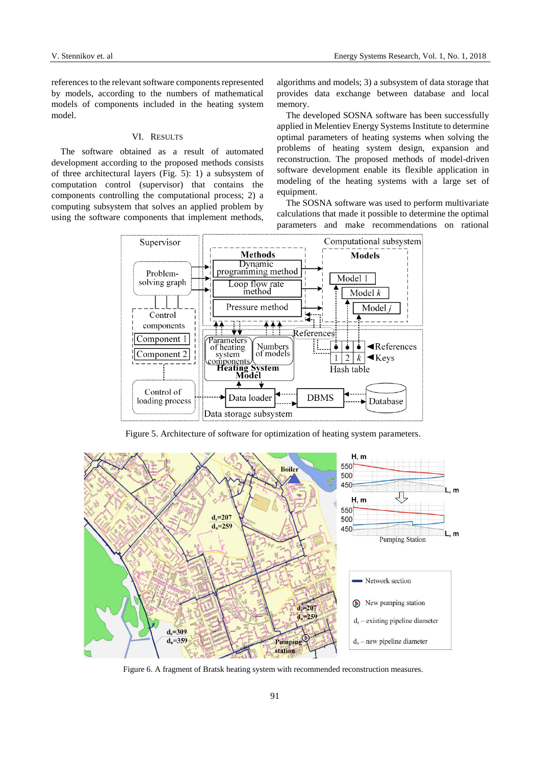references to the relevant software components represented by models, according to the numbers of mathematical models of components included in the heating system model.

#### VI. RESULTS

The software obtained as a result of automated development according to the proposed methods consists of three architectural layers (Fig. 5): 1) a subsystem of computation control (supervisor) that contains the components controlling the computational process; 2) a computing subsystem that solves an applied problem by using the software components that implement methods, algorithms and models; 3) a subsystem of data storage that provides data exchange between database and local memory.

The developed SOSNA software has been successfully applied in Melentiev Energy Systems Institute to determine optimal parameters of heating systems when solving the problems of heating system design, expansion and reconstruction. The proposed methods of model-driven software development enable its flexible application in modeling of the heating systems with a large set of equipment.

The SOSNA software was used to perform multivariate calculations that made it possible to determine the optimal parameters and make recommendations on rational



Figure 5. Architecture of software for optimization of heating system parameters.



Figure 6. A fragment of Bratsk heating system with recommended reconstruction measures.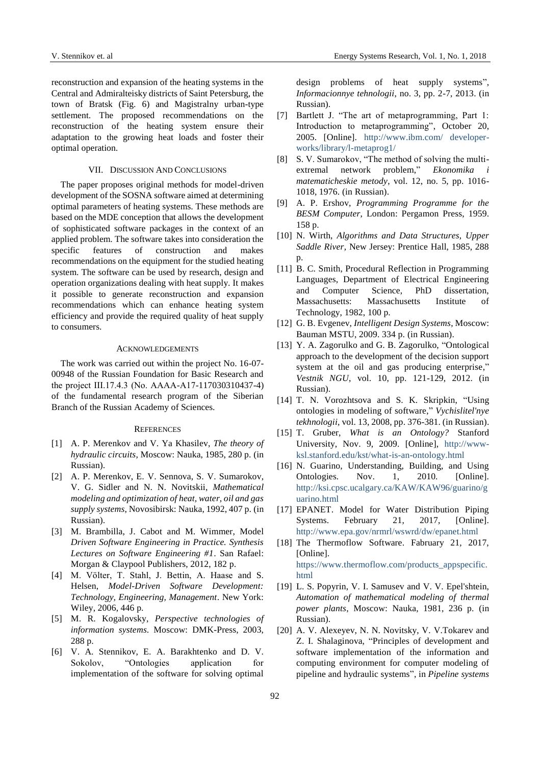reconstruction and expansion of the heating systems in the Central and Admiralteisky districts of Saint Petersburg, the town of Bratsk (Fig. 6) and Magistralny urban-type settlement. The proposed recommendations on the reconstruction of the heating system ensure their adaptation to the growing heat loads and foster their optimal operation.

#### VII. DISCUSSION AND CONCLUSIONS

The paper proposes original methods for model-driven development of the SOSNA software aimed at determining optimal parameters of heating systems. These methods are based on the MDE conception that allows the development of sophisticated software packages in the context of an applied problem. The software takes into consideration the specific features of construction and makes recommendations on the equipment for the studied heating system. The software can be used by research, design and operation organizations dealing with heat supply. It makes it possible to generate reconstruction and expansion recommendations which can enhance heating system efficiency and provide the required quality of heat supply to consumers.

#### ACKNOWLEDGEMENTS

The work was carried out within the project No. 16-07- 00948 of the Russian Foundation for Basic Research and the project III.17.4.3 (No. АААА-А17-117030310437-4) of the fundamental research program of the Siberian Branch of the Russian Academy of Sciences.

#### **REFERENCES**

- [1] A. P. Merenkov and V. Ya Khasilev, *The theory of hydraulic circuits*, Moscow: Nauka, 1985, 280 p. (in Russian).
- [2] A. P. Merenkov, E. V. Sennova, S. V. Sumarokov, V. G. Sidler and N. N. Novitskii, *Mathematical modeling and optimization of heat, water, oil and gas supply systems*, Novosibirsk: Nauka, 1992, 407 p. (in Russian).
- [3] M. Brambilla, J. Cabot and M. Wimmer, Model *Driven Software Engineering in Practice. Synthesis Lectures on Software Engineering #1*. San Rafael: Morgan & Claypool Publishers, 2012, 182 p.
- [4] M. Völter, T. Stahl, J. Bettin, A. Haase and S. Helsen, *Model-Driven Software Development: Technology, Engineering, Management*. New York: Wiley, 2006, 446 p.
- [5] M. R. Kogalovsky, *Perspective technologies of information systems*. Moscow: DMK-Press, 2003, 288 p.
- [6] V. A. Stennikov, E. A. Barakhtenko and D. V. Sokolov, "Ontologies application for implementation of the software for solving optimal

design problems of heat supply systems", *Informacionnye tehnologii*, no. 3, pp. 2-7, 2013. (in Russian).

- [7] Bartlett J. "The art of metaprogramming, Part 1: Introduction to metaprogramming", October 20, 2005. [Online]. http://www.ibm.com/ developerworks/library/l-metaprog1/
- [8] S. V. Sumarokov, "The method of solving the multiextremal network problem," *Ekonomika i matematicheskie metody*, vol. 12, no. 5, pp. 1016- 1018, 1976. (in Russian).
- [9] A. P. Ershov, *Programming Programme for the BESM Computer*, London: Pergamon Press, 1959. 158 p.
- [10] N. Wirth, *Algorithms and Data Structures, Upper Saddle River*, New Jersey: Prentice Hall, 1985, 288 p.
- [11] B. C. Smith, Procedural Reflection in Programming Languages, Department of Electrical Engineering and Computer Science, PhD dissertation, Massachusetts: Massachusetts Institute of Technology, 1982, 100 p.
- [12] G. B. Evgenev, *Intelligent Design Systems*, Moscow: Bauman MSTU, 2009. 334 p. (in Russian).
- [13] Y. A. Zagorulko and G. B. Zagorulko, "Ontological approach to the development of the decision support system at the oil and gas producing enterprise," *Vestnik NGU*, vol. 10, pp. 121-129, 2012. (in Russian).
- [14] T. N. Vorozhtsova and S. K. Skripkin, "Using ontologies in modeling of software," *Vychislitel'nye tekhnologii*, vol. 13, 2008, pp. 376-381. (in Russian).
- [15] T. Gruber, *What is an Ontology?* Stanford University, Nov. 9, 2009. [Online], [http://www](http://www-ksl.stanford.edu/kst/what-is-an-ontology.html)[ksl.stanford.edu/kst/what-is-an-ontology.html](http://www-ksl.stanford.edu/kst/what-is-an-ontology.html)
- [16] N. Guarino, Understanding, Building, and Using Ontologies. Nov. 1, 2010. [Online]. http://ksi.cpsc.ucalgary.ca/KAW/KAW96/guarino/g uarino.html
- [17] EPANET. Model for Water Distribution Piping Systems. February 21, 2017, [Online]. <http://www.epa.gov/nrmrl/wswrd/dw/epanet.html>
- [18] The Thermoflow Software. Fabruary 21, 2017, [Online]. [https://www.thermoflow.com/products\\_appspecific.](https://www.thermoflow.com/products_appspecific.html) [html](https://www.thermoflow.com/products_appspecific.html)
- [19] L. S. Popyrin, V. I. Samusev and V. V. Epel'shtein, *Automation of mathematical modeling of thermal power plants*, Moscow: Nauka, 1981, 236 p. (in Russian).
- [20] A. V. Alexeyev, N. N. Novitsky, V. V.Tokarev and Z. I. Shalaginova, "Principles of development and software implementation of the information and computing environment for computer modeling of pipeline and hydraulic systems", in *Pipeline systems*